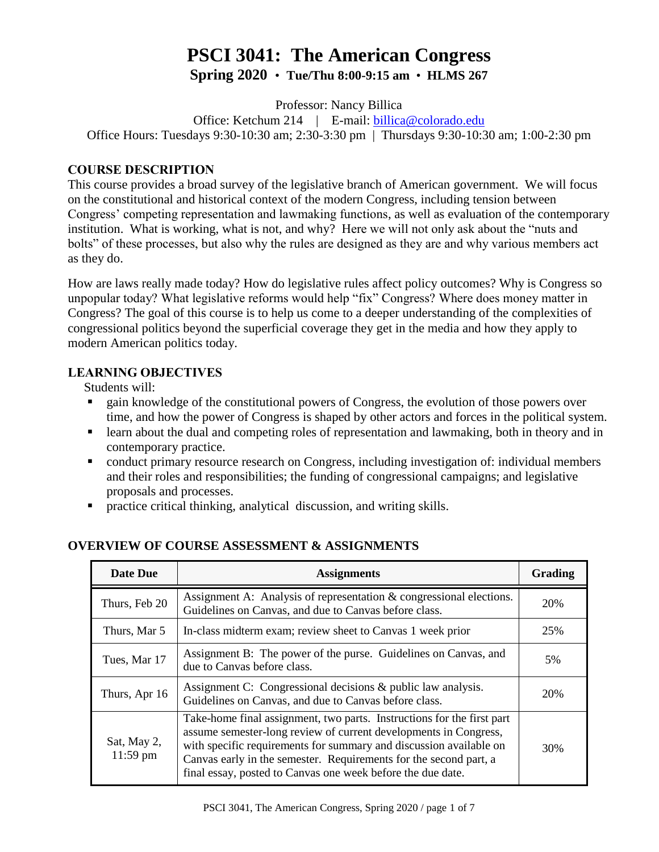# **PSCI 3041: The American Congress Spring 2020** • **Tue/Thu 8:00-9:15 am** • **HLMS 267**

Professor: Nancy Billica

Office: Ketchum 214 | E-mail: [billica@colorado.edu](mailto:billica@colorado.edu) Office Hours: Tuesdays 9:30-10:30 am; 2:30-3:30 pm | Thursdays 9:30-10:30 am; 1:00-2:30 pm

## **COURSE DESCRIPTION**

This course provides a broad survey of the legislative branch of American government. We will focus on the constitutional and historical context of the modern Congress, including tension between Congress' competing representation and lawmaking functions, as well as evaluation of the contemporary institution. What is working, what is not, and why? Here we will not only ask about the "nuts and bolts" of these processes, but also why the rules are designed as they are and why various members act as they do.

How are laws really made today? How do legislative rules affect policy outcomes? Why is Congress so unpopular today? What legislative reforms would help "fix" Congress? Where does money matter in Congress? The goal of this course is to help us come to a deeper understanding of the complexities of congressional politics beyond the superficial coverage they get in the media and how they apply to modern American politics today.

## **LEARNING OBJECTIVES**

Students will:

- gain knowledge of the constitutional powers of Congress, the evolution of those powers over time, and how the power of Congress is shaped by other actors and forces in the political system.
- learn about the dual and competing roles of representation and lawmaking, both in theory and in contemporary practice.
- conduct primary resource research on Congress, including investigation of: individual members and their roles and responsibilities; the funding of congressional campaigns; and legislative proposals and processes.
- practice critical thinking, analytical discussion, and writing skills.

| Date Due                  | <b>Assignments</b>                                                                                                                                                                                                                                                                                                                                   | <b>Grading</b> |
|---------------------------|------------------------------------------------------------------------------------------------------------------------------------------------------------------------------------------------------------------------------------------------------------------------------------------------------------------------------------------------------|----------------|
| Thurs, Feb 20             | Assignment A: Analysis of representation & congressional elections.<br>Guidelines on Canvas, and due to Canvas before class.                                                                                                                                                                                                                         | 20%            |
| Thurs, Mar 5              | In-class midterm exam; review sheet to Canvas 1 week prior                                                                                                                                                                                                                                                                                           | 25%            |
| Tues, Mar 17              | Assignment B: The power of the purse. Guidelines on Canvas, and<br>due to Canvas before class.                                                                                                                                                                                                                                                       | 5%             |
| Thurs, Apr 16             | Assignment C: Congressional decisions & public law analysis.<br>Guidelines on Canvas, and due to Canvas before class.                                                                                                                                                                                                                                | 20%            |
| Sat, May 2,<br>$11:59$ pm | Take-home final assignment, two parts. Instructions for the first part<br>assume semester-long review of current developments in Congress,<br>with specific requirements for summary and discussion available on<br>Canvas early in the semester. Requirements for the second part, a<br>final essay, posted to Canvas one week before the due date. | 30%            |

## **OVERVIEW OF COURSE ASSESSMENT & ASSIGNMENTS**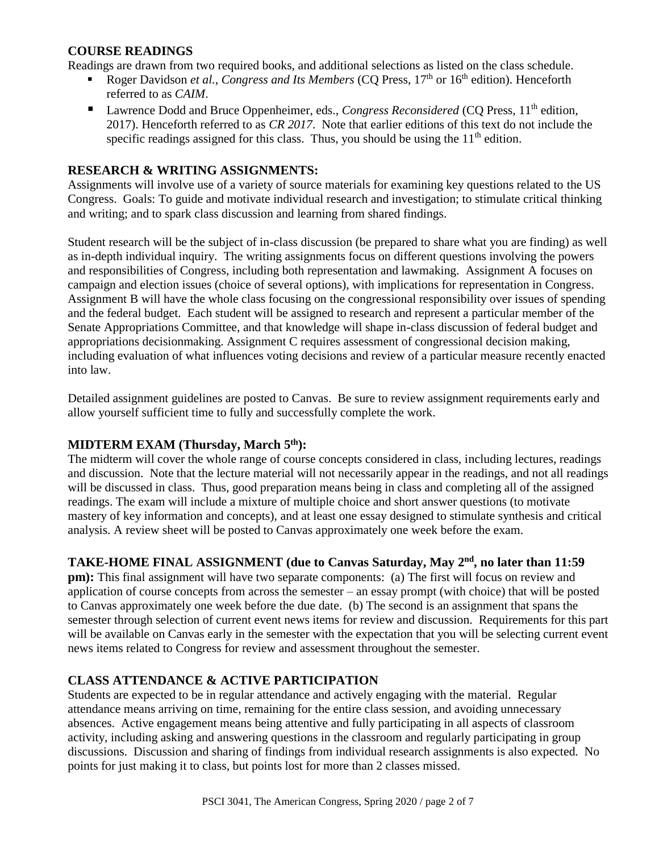#### **COURSE READINGS**

Readings are drawn from two required books, and additional selections as listed on the class schedule.

- Roger Davidson et al., Congress and Its Members (CQ Press, 17<sup>th</sup> or 16<sup>th</sup> edition). Henceforth referred to as *CAIM*.
- Lawrence Dodd and Bruce Oppenheimer, eds., *Congress Reconsidered* (CQ Press, 11<sup>th</sup> edition, 2017). Henceforth referred to as *CR 2017*. Note that earlier editions of this text do not include the specific readings assigned for this class. Thus, you should be using the  $11<sup>th</sup>$  edition.

#### **RESEARCH & WRITING ASSIGNMENTS:**

Assignments will involve use of a variety of source materials for examining key questions related to the US Congress. Goals: To guide and motivate individual research and investigation; to stimulate critical thinking and writing; and to spark class discussion and learning from shared findings.

Student research will be the subject of in-class discussion (be prepared to share what you are finding) as well as in-depth individual inquiry. The writing assignments focus on different questions involving the powers and responsibilities of Congress, including both representation and lawmaking. Assignment A focuses on campaign and election issues (choice of several options), with implications for representation in Congress. Assignment B will have the whole class focusing on the congressional responsibility over issues of spending and the federal budget. Each student will be assigned to research and represent a particular member of the Senate Appropriations Committee, and that knowledge will shape in-class discussion of federal budget and appropriations decisionmaking. Assignment C requires assessment of congressional decision making, including evaluation of what influences voting decisions and review of a particular measure recently enacted into law.

Detailed assignment guidelines are posted to Canvas. Be sure to review assignment requirements early and allow yourself sufficient time to fully and successfully complete the work.

#### **MIDTERM EXAM (Thursday, March 5th):**

The midterm will cover the whole range of course concepts considered in class, including lectures, readings and discussion. Note that the lecture material will not necessarily appear in the readings, and not all readings will be discussed in class. Thus, good preparation means being in class and completing all of the assigned readings. The exam will include a mixture of multiple choice and short answer questions (to motivate mastery of key information and concepts), and at least one essay designed to stimulate synthesis and critical analysis. A review sheet will be posted to Canvas approximately one week before the exam.

## TAKE-HOME FINAL ASSIGNMENT (due to Canvas Saturday, May 2<sup>nd</sup>, no later than 11:59

**pm):** This final assignment will have two separate components: (a) The first will focus on review and application of course concepts from across the semester – an essay prompt (with choice) that will be posted to Canvas approximately one week before the due date. (b) The second is an assignment that spans the semester through selection of current event news items for review and discussion. Requirements for this part will be available on Canvas early in the semester with the expectation that you will be selecting current event news items related to Congress for review and assessment throughout the semester.

## **CLASS ATTENDANCE & ACTIVE PARTICIPATION**

Students are expected to be in regular attendance and actively engaging with the material. Regular attendance means arriving on time, remaining for the entire class session, and avoiding unnecessary absences. Active engagement means being attentive and fully participating in all aspects of classroom activity, including asking and answering questions in the classroom and regularly participating in group discussions. Discussion and sharing of findings from individual research assignments is also expected. No points for just making it to class, but points lost for more than 2 classes missed.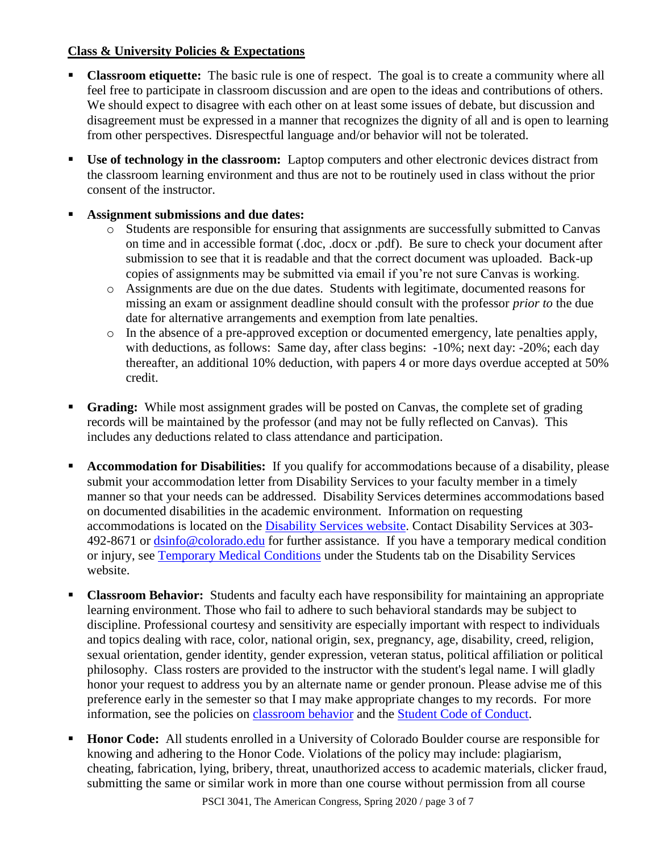## **Class & University Policies & Expectations**

- **Classroom etiquette:** The basic rule is one of respect. The goal is to create a community where all feel free to participate in classroom discussion and are open to the ideas and contributions of others. We should expect to disagree with each other on at least some issues of debate, but discussion and disagreement must be expressed in a manner that recognizes the dignity of all and is open to learning from other perspectives. Disrespectful language and/or behavior will not be tolerated.
- **Use of technology in the classroom:** Laptop computers and other electronic devices distract from the classroom learning environment and thus are not to be routinely used in class without the prior consent of the instructor.
- **Assignment submissions and due dates:** 
	- o Students are responsible for ensuring that assignments are successfully submitted to Canvas on time and in accessible format (.doc, .docx or .pdf). Be sure to check your document after submission to see that it is readable and that the correct document was uploaded. Back-up copies of assignments may be submitted via email if you're not sure Canvas is working.
	- o Assignments are due on the due dates. Students with legitimate, documented reasons for missing an exam or assignment deadline should consult with the professor *prior to* the due date for alternative arrangements and exemption from late penalties.
	- o In the absence of a pre-approved exception or documented emergency, late penalties apply, with deductions, as follows: Same day, after class begins: -10%; next day: -20%; each day thereafter, an additional 10% deduction, with papers 4 or more days overdue accepted at 50% credit.
- **Grading:** While most assignment grades will be posted on Canvas, the complete set of grading records will be maintained by the professor (and may not be fully reflected on Canvas). This includes any deductions related to class attendance and participation.
- **Accommodation for Disabilities:** If you qualify for accommodations because of a disability, please submit your accommodation letter from Disability Services to your faculty member in a timely manner so that your needs can be addressed. Disability Services determines accommodations based on documented disabilities in the academic environment. Information on requesting accommodations is located on the [Disability Services website.](http://www.colorado.edu/disabilityservices/students) Contact Disability Services at 303- 492-8671 or [dsinfo@colorado.edu](mailto:dsinfo@colorado.edu) for further assistance. If you have a temporary medical condition or injury, see [Temporary Medical Conditions](http://www.colorado.edu/disabilityservices/students/temporary-medical-conditions) under the Students tab on the Disability Services website.
- **Classroom Behavior:** Students and faculty each have responsibility for maintaining an appropriate learning environment. Those who fail to adhere to such behavioral standards may be subject to discipline. Professional courtesy and sensitivity are especially important with respect to individuals and topics dealing with race, color, national origin, sex, pregnancy, age, disability, creed, religion, sexual orientation, gender identity, gender expression, veteran status, political affiliation or political philosophy. Class rosters are provided to the instructor with the student's legal name. I will gladly honor your request to address you by an alternate name or gender pronoun. Please advise me of this preference early in the semester so that I may make appropriate changes to my records. For more information, see the policies on [classroom behavior](http://www.colorado.edu/policies/student-classroom-and-course-related-behavior) and the [Student Code of Conduct.](http://www.colorado.edu/osccr/)
- **Honor Code:** All students enrolled in a University of Colorado Boulder course are responsible for knowing and adhering to the Honor Code. Violations of the policy may include: plagiarism, cheating, fabrication, lying, bribery, threat, unauthorized access to academic materials, clicker fraud, submitting the same or similar work in more than one course without permission from all course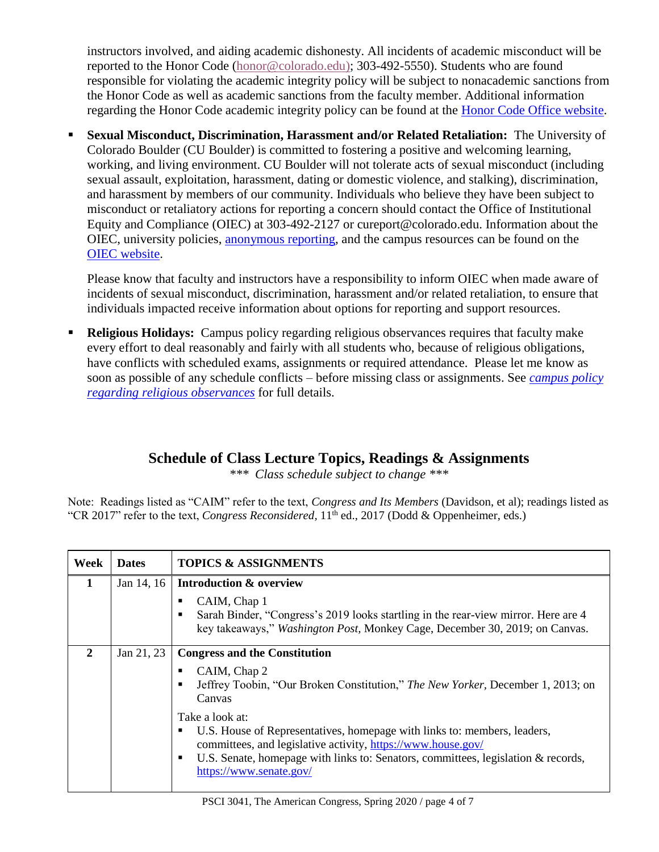instructors involved, and aiding academic dishonesty. All incidents of academic misconduct will be reported to the Honor Code [\(honor@colorado.edu\)](mailto:honor@colorado.edu); 303-492-5550). Students who are found responsible for violating the academic integrity policy will be subject to nonacademic sanctions from the Honor Code as well as academic sanctions from the faculty member. Additional information regarding the Honor Code academic integrity policy can be found at the [Honor Code Office website.](https://www.colorado.edu/osccr/honor-code)

 **Sexual Misconduct, Discrimination, Harassment and/or Related Retaliation:** The University of Colorado Boulder (CU Boulder) is committed to fostering a positive and welcoming learning, working, and living environment. CU Boulder will not tolerate acts of sexual misconduct (including sexual assault, exploitation, harassment, dating or domestic violence, and stalking), discrimination, and harassment by members of our community. Individuals who believe they have been subject to misconduct or retaliatory actions for reporting a concern should contact the Office of Institutional Equity and Compliance (OIEC) at 303-492-2127 or cureport@colorado.edu. Information about the OIEC, university policies, [anonymous reporting,](https://cuboulder.qualtrics.com/jfe/form/SV_0PnqVK4kkIJIZnf) and the campus resources can be found on the [OIEC website.](http://www.colorado.edu/institutionalequity/)

Please know that faculty and instructors have a responsibility to inform OIEC when made aware of incidents of sexual misconduct, discrimination, harassment and/or related retaliation, to ensure that individuals impacted receive information about options for reporting and support resources.

 **Religious Holidays:** Campus policy regarding religious observances requires that faculty make every effort to deal reasonably and fairly with all students who, because of religious obligations, have conflicts with scheduled exams, assignments or required attendance. Please let me know as soon as possible of any schedule conflicts – before missing class or assignments. See *[campus policy](http://www.colorado.edu/policies/observance-religious-holidays-and-absences-classes-andor-exams)  [regarding religious observances](http://www.colorado.edu/policies/observance-religious-holidays-and-absences-classes-andor-exams)* for full details.

## **Schedule of Class Lecture Topics, Readings & Assignments**

*\*\*\* Class schedule subject to change \*\*\**

Note: Readings listed as "CAIM" refer to the text, *Congress and Its Members* (Davidson, et al); readings listed as "CR 2017" refer to the text, *Congress Reconsidered*, 11<sup>th</sup> ed., 2017 (Dodd & Oppenheimer, eds.)

| <b>Week</b>  | <b>Dates</b> | <b>TOPICS &amp; ASSIGNMENTS</b>                                                                                                                                                                                                                                                                                                                                                                                                                     |
|--------------|--------------|-----------------------------------------------------------------------------------------------------------------------------------------------------------------------------------------------------------------------------------------------------------------------------------------------------------------------------------------------------------------------------------------------------------------------------------------------------|
| $\mathbf{1}$ | Jan 14, 16   | <b>Introduction &amp; overview</b><br>CAIM, Chap 1<br>п<br>Sarah Binder, "Congress's 2019 looks startling in the rear-view mirror. Here are 4<br>$\blacksquare$<br>key takeaways," Washington Post, Monkey Cage, December 30, 2019; on Canvas.                                                                                                                                                                                                      |
| $\mathbf{2}$ | Jan 21, 23   | <b>Congress and the Constitution</b><br>CAIM, Chap 2<br>п<br>Jeffrey Toobin, "Our Broken Constitution," The New Yorker, December 1, 2013; on<br>$\blacksquare$<br>Canvas<br>Take a look at:<br>U.S. House of Representatives, homepage with links to: members, leaders,<br>$\blacksquare$<br>committees, and legislative activity, https://www.house.gov/<br>U.S. Senate, homepage with links to: Senators, committees, legislation & records,<br>п |
|              |              | https://www.senate.gov/                                                                                                                                                                                                                                                                                                                                                                                                                             |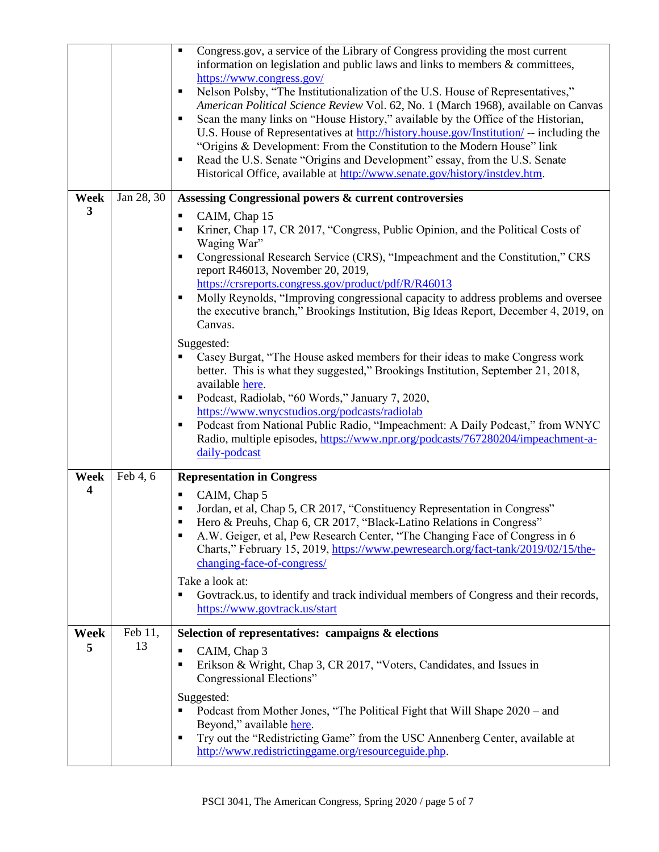|                         |               | Congress.gov, a service of the Library of Congress providing the most current<br>٠<br>information on legislation and public laws and links to members $\&$ committees,     |  |
|-------------------------|---------------|----------------------------------------------------------------------------------------------------------------------------------------------------------------------------|--|
|                         |               | https://www.congress.gov/                                                                                                                                                  |  |
|                         |               | Nelson Polsby, "The Institutionalization of the U.S. House of Representatives,"<br>п<br>American Political Science Review Vol. 62, No. 1 (March 1968), available on Canvas |  |
|                         |               | Scan the many links on "House History," available by the Office of the Historian,<br>п                                                                                     |  |
|                         |               | U.S. House of Representatives at http://history.house.gov/Institution/ -- including the<br>"Origins & Development: From the Constitution to the Modern House" link         |  |
|                         |               | Read the U.S. Senate "Origins and Development" essay, from the U.S. Senate<br>п                                                                                            |  |
|                         |               | Historical Office, available at http://www.senate.gov/history/instdev.htm.                                                                                                 |  |
| Week<br>3               | Jan 28, 30    | Assessing Congressional powers & current controversies                                                                                                                     |  |
|                         |               | CAIM, Chap 15<br>п<br>Kriner, Chap 17, CR 2017, "Congress, Public Opinion, and the Political Costs of<br>٠                                                                 |  |
|                         |               | Waging War"                                                                                                                                                                |  |
|                         |               | Congressional Research Service (CRS), "Impeachment and the Constitution," CRS<br>п                                                                                         |  |
|                         |               | report R46013, November 20, 2019,<br>https://crsreports.congress.gov/product/pdf/R/R46013                                                                                  |  |
|                         |               | Molly Reynolds, "Improving congressional capacity to address problems and oversee<br>٠                                                                                     |  |
|                         |               | the executive branch," Brookings Institution, Big Ideas Report, December 4, 2019, on<br>Canvas.                                                                            |  |
|                         |               | Suggested:                                                                                                                                                                 |  |
|                         |               | Casey Burgat, "The House asked members for their ideas to make Congress work                                                                                               |  |
|                         |               | better. This is what they suggested," Brookings Institution, September 21, 2018,<br>available here.                                                                        |  |
|                         |               | Podcast, Radiolab, "60 Words," January 7, 2020,<br>٠                                                                                                                       |  |
|                         |               | https://www.wnycstudios.org/podcasts/radiolab<br>Podcast from National Public Radio, "Impeachment: A Daily Podcast," from WNYC<br>п                                        |  |
|                         |               | Radio, multiple episodes, https://www.npr.org/podcasts/767280204/impeachment-a-                                                                                            |  |
|                         |               | daily-podcast                                                                                                                                                              |  |
| Week                    | Feb 4, 6      | <b>Representation in Congress</b>                                                                                                                                          |  |
| $\overline{\mathbf{4}}$ |               | CAIM, Chap 5<br>п<br>٠                                                                                                                                                     |  |
|                         |               | Jordan, et al, Chap 5, CR 2017, "Constituency Representation in Congress"<br>Hero & Preuhs, Chap 6, CR 2017, "Black-Latino Relations in Congress"<br>٠                     |  |
|                         |               | A.W. Geiger, et al, Pew Research Center, "The Changing Face of Congress in 6<br>٠                                                                                          |  |
|                         |               | Charts," February 15, 2019, https://www.pewresearch.org/fact-tank/2019/02/15/the-<br>changing-face-of-congress/                                                            |  |
|                         |               | Take a look at:                                                                                                                                                            |  |
|                         |               | Govtrack.us, to identify and track individual members of Congress and their records,<br>٠                                                                                  |  |
|                         |               | https://www.govtrack.us/start                                                                                                                                              |  |
| Week<br>5               | Feb 11,<br>13 | Selection of representatives: campaigns & elections                                                                                                                        |  |
|                         |               | CAIM, Chap 3<br>٠<br>Erikson & Wright, Chap 3, CR 2017, "Voters, Candidates, and Issues in<br>٠                                                                            |  |
|                         |               | Congressional Elections"                                                                                                                                                   |  |
|                         |               | Suggested:                                                                                                                                                                 |  |
|                         |               | Podcast from Mother Jones, "The Political Fight that Will Shape 2020 – and<br>٠<br>Beyond," available here.                                                                |  |
|                         |               | Try out the "Redistricting Game" from the USC Annenberg Center, available at<br>٠                                                                                          |  |
|                         |               | http://www.redistrictinggame.org/resourceguide.php.                                                                                                                        |  |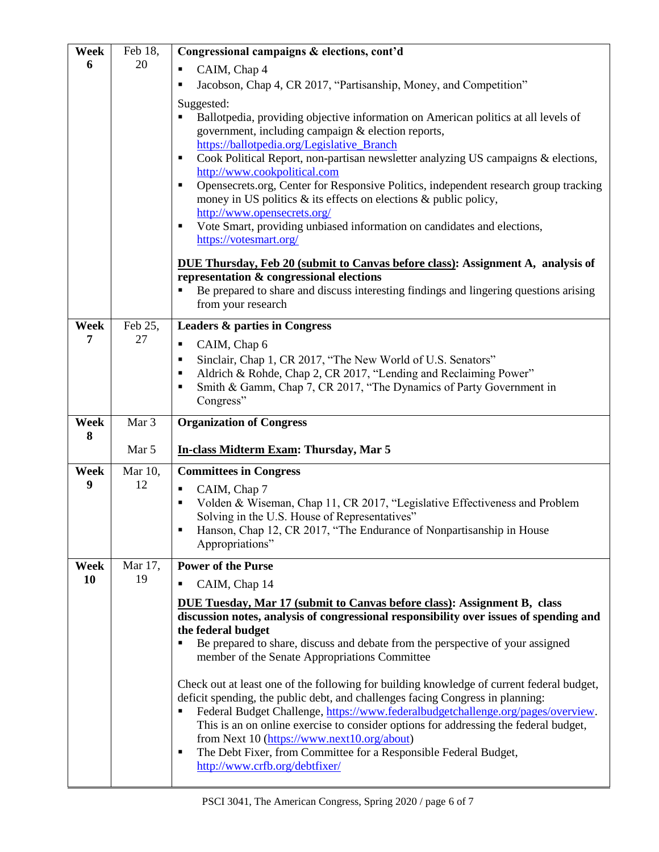| Week | Feb 18, | Congressional campaigns & elections, cont'd                                                                                                                                 |  |
|------|---------|-----------------------------------------------------------------------------------------------------------------------------------------------------------------------------|--|
| 6    | 20      | CAIM, Chap 4<br>П                                                                                                                                                           |  |
|      |         | Jacobson, Chap 4, CR 2017, "Partisanship, Money, and Competition"<br>Е                                                                                                      |  |
|      |         | Suggested:                                                                                                                                                                  |  |
|      |         | Ballotpedia, providing objective information on American politics at all levels of                                                                                          |  |
|      |         | government, including campaign & election reports,                                                                                                                          |  |
|      |         | https://ballotpedia.org/Legislative_Branch                                                                                                                                  |  |
|      |         | Cook Political Report, non-partisan newsletter analyzing US campaigns & elections,<br>٠<br>http://www.cookpolitical.com                                                     |  |
|      |         | Opensecrets.org, Center for Responsive Politics, independent research group tracking<br>٠                                                                                   |  |
|      |         | money in US politics $\&$ its effects on elections $\&$ public policy,                                                                                                      |  |
|      |         | http://www.opensecrets.org/                                                                                                                                                 |  |
|      |         | Vote Smart, providing unbiased information on candidates and elections,<br>$\blacksquare$                                                                                   |  |
|      |         | https://votesmart.org/                                                                                                                                                      |  |
|      |         | DUE Thursday, Feb 20 (submit to Canvas before class): Assignment A, analysis of                                                                                             |  |
|      |         | representation & congressional elections                                                                                                                                    |  |
|      |         | Be prepared to share and discuss interesting findings and lingering questions arising<br>п                                                                                  |  |
|      |         | from your research                                                                                                                                                          |  |
| Week | Feb 25, | <b>Leaders &amp; parties in Congress</b>                                                                                                                                    |  |
| 7    | 27      | CAIM, Chap 6<br>٠                                                                                                                                                           |  |
|      |         | Sinclair, Chap 1, CR 2017, "The New World of U.S. Senators"<br>п                                                                                                            |  |
|      |         | Aldrich & Rohde, Chap 2, CR 2017, "Lending and Reclaiming Power"<br>п                                                                                                       |  |
|      |         | Smith & Gamm, Chap 7, CR 2017, "The Dynamics of Party Government in<br>П<br>Congress"                                                                                       |  |
|      |         |                                                                                                                                                                             |  |
|      |         |                                                                                                                                                                             |  |
| Week | Mar 3   | <b>Organization of Congress</b>                                                                                                                                             |  |
| 8    |         |                                                                                                                                                                             |  |
|      | Mar 5   | In-class Midterm Exam: Thursday, Mar 5                                                                                                                                      |  |
| Week | Mar 10, | <b>Committees in Congress</b>                                                                                                                                               |  |
| 9    | 12      | CAIM, Chap 7<br>٠                                                                                                                                                           |  |
|      |         | Volden & Wiseman, Chap 11, CR 2017, "Legislative Effectiveness and Problem<br>$\blacksquare$                                                                                |  |
|      |         | Solving in the U.S. House of Representatives"<br>Hanson, Chap 12, CR 2017, "The Endurance of Nonpartisanship in House                                                       |  |
|      |         | Appropriations"                                                                                                                                                             |  |
| Week | Mar 17, | <b>Power of the Purse</b>                                                                                                                                                   |  |
| 10   | 19      | Е                                                                                                                                                                           |  |
|      |         | CAIM, Chap 14                                                                                                                                                               |  |
|      |         | DUE Tuesday, Mar 17 (submit to Canvas before class): Assignment B, class<br>discussion notes, analysis of congressional responsibility over issues of spending and          |  |
|      |         | the federal budget                                                                                                                                                          |  |
|      |         | Be prepared to share, discuss and debate from the perspective of your assigned<br>П                                                                                         |  |
|      |         | member of the Senate Appropriations Committee                                                                                                                               |  |
|      |         |                                                                                                                                                                             |  |
|      |         | Check out at least one of the following for building knowledge of current federal budget,<br>deficit spending, the public debt, and challenges facing Congress in planning: |  |
|      |         | Federal Budget Challenge, https://www.federalbudgetchallenge.org/pages/overview.<br>٠                                                                                       |  |
|      |         | This is an on online exercise to consider options for addressing the federal budget,                                                                                        |  |
|      |         | from Next 10 (https://www.next10.org/about)                                                                                                                                 |  |
|      |         | The Debt Fixer, from Committee for a Responsible Federal Budget,<br>п<br>http://www.crfb.org/debtfixer/                                                                     |  |